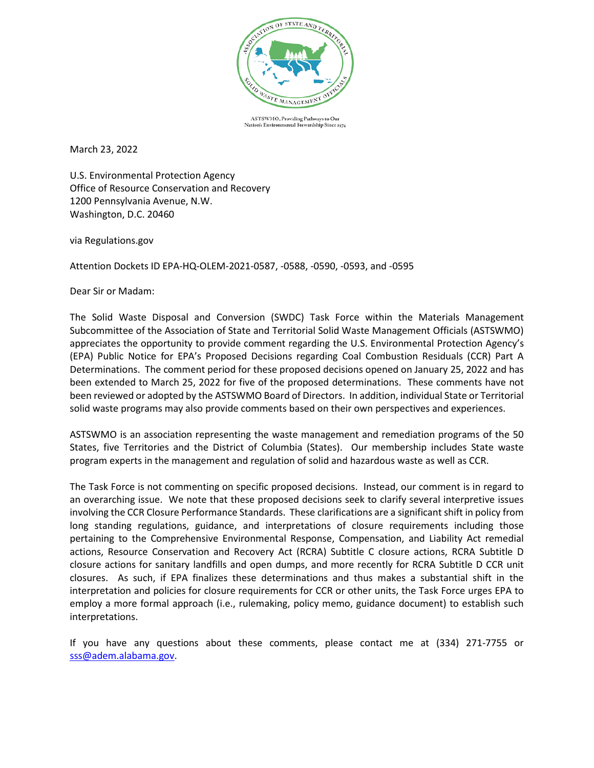

ASTSWMO, Providing Pathways to Our Nation's Environmental Stewardship Since 1974

March 23, 2022

U.S. Environmental Protection Agency Office of Resource Conservation and Recovery 1200 Pennsylvania Avenue, N.W. Washington, D.C. 20460

via Regulations.gov

Attention Dockets ID EPA-HQ-OLEM-2021-0587, -0588, -0590, -0593, and -0595

Dear Sir or Madam:

The Solid Waste Disposal and Conversion (SWDC) Task Force within the Materials Management Subcommittee of the Association of State and Territorial Solid Waste Management Officials (ASTSWMO) appreciates the opportunity to provide comment regarding the U.S. Environmental Protection Agency's (EPA) Public Notice for EPA's Proposed Decisions regarding Coal Combustion Residuals (CCR) Part A Determinations. The comment period for these proposed decisions opened on January 25, 2022 and has been extended to March 25, 2022 for five of the proposed determinations. These comments have not been reviewed or adopted by the ASTSWMO Board of Directors. In addition, individual State or Territorial solid waste programs may also provide comments based on their own perspectives and experiences.

ASTSWMO is an association representing the waste management and remediation programs of the 50 States, five Territories and the District of Columbia (States). Our membership includes State waste program experts in the management and regulation of solid and hazardous waste as well as CCR.

The Task Force is not commenting on specific proposed decisions. Instead, our comment is in regard to an overarching issue. We note that these proposed decisions seek to clarify several interpretive issues involving the CCR Closure Performance Standards. These clarifications are a significant shift in policy from long standing regulations, guidance, and interpretations of closure requirements including those pertaining to the Comprehensive Environmental Response, Compensation, and Liability Act remedial actions, Resource Conservation and Recovery Act (RCRA) Subtitle C closure actions, RCRA Subtitle D closure actions for sanitary landfills and open dumps, and more recently for RCRA Subtitle D CCR unit closures. As such, if EPA finalizes these determinations and thus makes a substantial shift in the interpretation and policies for closure requirements for CCR or other units, the Task Force urges EPA to employ a more formal approach (i.e., rulemaking, policy memo, guidance document) to establish such interpretations.

If you have any questions about these comments, please contact me at (334) 271-7755 or [sss@adem.alabama.gov.](mailto:sss@adem.alabama.gov)